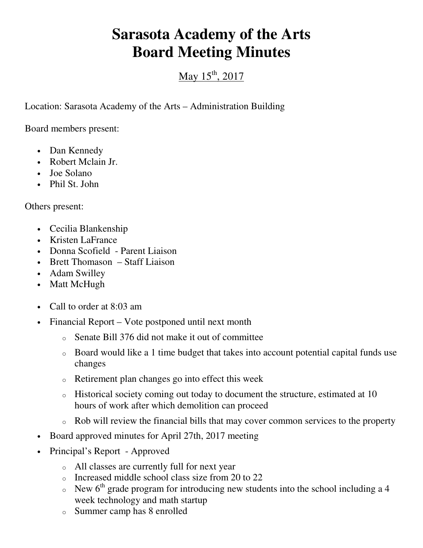## **Sarasota Academy of the Arts Board Meeting Minutes**

## May  $15^{th}$ , 2017

Location: Sarasota Academy of the Arts – Administration Building

Board members present:

- Dan Kennedy
- Robert Mclain Jr.
- Joe Solano
- Phil St. John

Others present:

- Cecilia Blankenship
- Kristen LaFrance
- Donna Scofield Parent Liaison
- Brett Thomason Staff Liaison
- Adam Swilley
- Matt McHugh
- Call to order at 8:03 am
- Financial Report Vote postponed until next month
	- o Senate Bill 376 did not make it out of committee
	- o Board would like a 1 time budget that takes into account potential capital funds use changes
	- o Retirement plan changes go into effect this week
	- o Historical society coming out today to document the structure, estimated at 10 hours of work after which demolition can proceed
	- o Rob will review the financial bills that may cover common services to the property
- Board approved minutes for April 27th, 2017 meeting
- Principal's Report Approved
	- o All classes are currently full for next year
	- o Increased middle school class size from 20 to 22
	- $\circ$  New 6<sup>th</sup> grade program for introducing new students into the school including a 4 week technology and math startup
	- o Summer camp has 8 enrolled